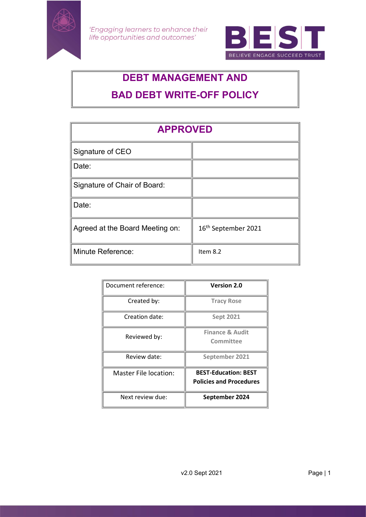

'Engaging learners to enhance their life opportunities and outcomes'



# DEBT MANAGEMENT AND BAD DEBT WRITE-OFF POLICY

| <b>APPROVED</b>                 |                                 |
|---------------------------------|---------------------------------|
| Signature of CEO                |                                 |
| Date:                           |                                 |
| Signature of Chair of Board:    |                                 |
| Date:                           |                                 |
| Agreed at the Board Meeting on: | 16 <sup>th</sup> September 2021 |
| Minute Reference:               | Item 8.2                        |

| Document reference:   | <b>Version 2.0</b>                                            |
|-----------------------|---------------------------------------------------------------|
| Created by:           | <b>Tracy Rose</b>                                             |
| Creation date:        | <b>Sept 2021</b>                                              |
| Reviewed by:          | <b>Finance &amp; Audit</b><br>Committee                       |
| Review date:          | September 2021                                                |
| Master File location: | <b>BEST-Education: BEST</b><br><b>Policies and Procedures</b> |
| Next review due:      | September 2024                                                |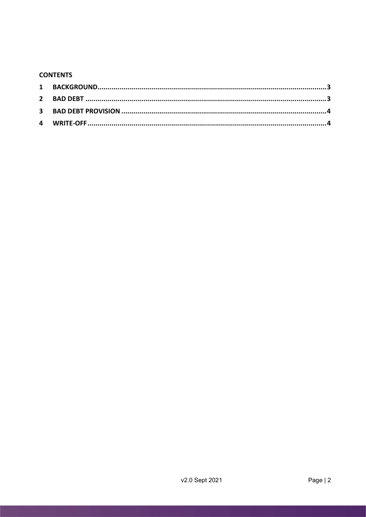### **CONTENTS**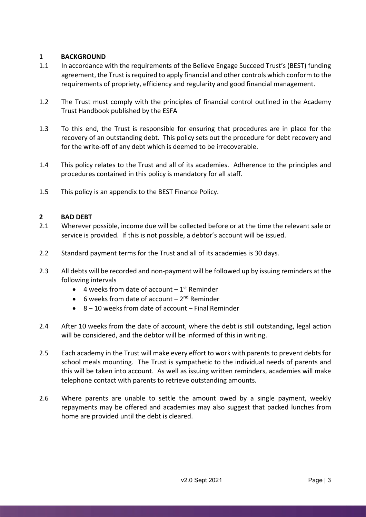## 1 BACKGROUND

- 1.1 In accordance with the requirements of the Believe Engage Succeed Trust's (BEST) funding agreement, the Trust is required to apply financial and other controls which conform to the requirements of propriety, efficiency and regularity and good financial management.
- 1.2 The Trust must comply with the principles of financial control outlined in the Academy Trust Handbook published by the ESFA
- 1.3 To this end, the Trust is responsible for ensuring that procedures are in place for the recovery of an outstanding debt. This policy sets out the procedure for debt recovery and for the write-off of any debt which is deemed to be irrecoverable.
- 1.4 This policy relates to the Trust and all of its academies. Adherence to the principles and procedures contained in this policy is mandatory for all staff.
- 1.5 This policy is an appendix to the BEST Finance Policy.

## 2 BAD DEBT

- 2.1 Wherever possible, income due will be collected before or at the time the relevant sale or service is provided. If this is not possible, a debtor's account will be issued.
- 2.2 Standard payment terms for the Trust and all of its academies is 30 days.
- 2.3 All debts will be recorded and non-payment will be followed up by issuing reminders at the following intervals
	- $\bullet$  4 weeks from date of account  $-1$ <sup>st</sup> Reminder
	- 6 weeks from date of account  $-2^{nd}$  Reminder
	- 8 10 weeks from date of account Final Reminder
- 2.4 After 10 weeks from the date of account, where the debt is still outstanding, legal action will be considered, and the debtor will be informed of this in writing.
- 2.5 Each academy in the Trust will make every effort to work with parents to prevent debts for school meals mounting. The Trust is sympathetic to the individual needs of parents and this will be taken into account. As well as issuing written reminders, academies will make telephone contact with parents to retrieve outstanding amounts.
- 2.6 Where parents are unable to settle the amount owed by a single payment, weekly repayments may be offered and academies may also suggest that packed lunches from home are provided until the debt is cleared.